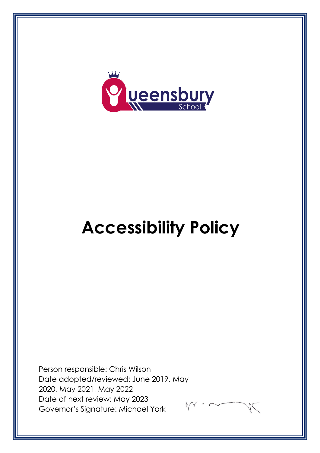

# **Accessibility Policy**

Person responsible: Chris Wilson Date adopted/reviewed: June 2019, May 2020, May 2021, May 2022 Date of next review: May 2023 Governor's Signature: Michael York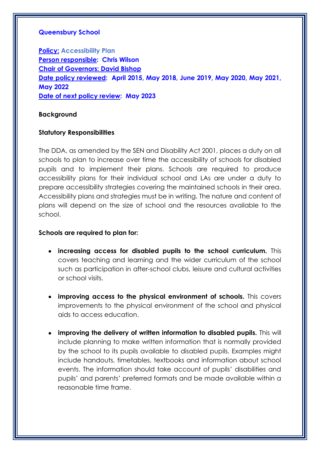## **Queensbury School**

**Policy: Accessibility Plan Person responsible: Chris Wilson Chair of Governors: David Bishop Date policy reviewed: April 2015, May 2018, June 2019, May 2020, May 2021, May 2022 Date of next policy review: May 2023**

#### **Background**

#### **Statutory Responsibilities**

The DDA, as amended by the SEN and Disability Act 2001, places a duty on all schools to plan to increase over time the accessibility of schools for disabled pupils and to implement their plans. Schools are required to produce accessibility plans for their individual school and LAs are under a duty to prepare accessibility strategies covering the maintained schools in their area. Accessibility plans and strategies must be in writing. The nature and content of plans will depend on the size of school and the resources available to the school.

## **Schools are required to plan for:**

- **increasing access for disabled pupils to the school curriculum.** This covers teaching and learning and the wider curriculum of the school such as participation in after-school clubs, leisure and cultural activities or school visits.
- **improving access to the physical environment of schools.** This covers improvements to the physical environment of the school and physical aids to access education.
- **improving the delivery of written information to disabled pupils.** This will include planning to make written information that is normally provided by the school to its pupils available to disabled pupils. Examples might include handouts, timetables, textbooks and information about school events. The information should take account of pupils' disabilities and pupils' and parents' preferred formats and be made available within a reasonable time frame.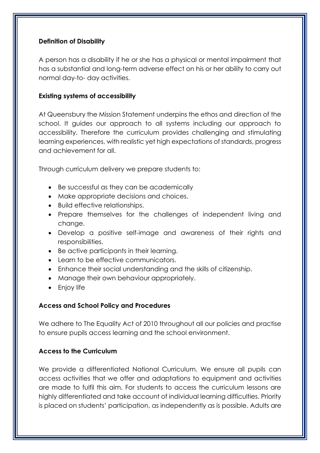# **Definition of Disability**

A person has a disability if he or she has a physical or mental impairment that has a substantial and long-term adverse effect on his or her ability to carry out normal day-to- day activities.

# **Existing systems of accessibility**

At Queensbury the Mission Statement underpins the ethos and direction of the school. It guides our approach to all systems including our approach to accessibility. Therefore the curriculum provides challenging and stimulating learning experiences, with realistic yet high expectations of standards, progress and achievement for all.

Through curriculum delivery we prepare students to:

- Be successful as they can be academically
- Make appropriate decisions and choices.
- Build effective relationships.
- Prepare themselves for the challenges of independent living and change.
- Develop a positive self-image and awareness of their rights and responsibilities.
- Be active participants in their learning.
- Learn to be effective communicators.
- Enhance their social understanding and the skills of citizenship.
- Manage their own behaviour appropriately.
- Enjoy life

# **Access and School Policy and Procedures**

We adhere to The Equality Act of 2010 throughout all our policies and practise to ensure pupils access learning and the school environment.

# **Access to the Curriculum**

We provide a differentiated National Curriculum. We ensure all pupils can access activities that we offer and adaptations to equipment and activities are made to fulfil this aim. For students to access the curriculum lessons are highly differentiated and take account of individual learning difficulties. Priority is placed on students' participation, as independently as is possible. Adults are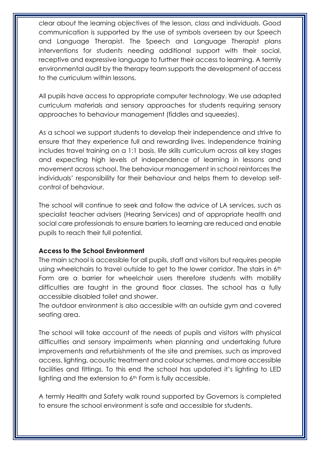clear about the learning objectives of the lesson, class and individuals. Good communication is supported by the use of symbols overseen by our Speech and Language Therapist. The Speech and Language Therapist plans interventions for students needing additional support with their social, receptive and expressive language to further their access to learning. A termly environmental audit by the therapy team supports the development of access to the curriculum within lessons.

All pupils have access to appropriate computer technology. We use adapted curriculum materials and sensory approaches for students requiring sensory approaches to behaviour management (fiddles and squeezies).

As a school we support students to develop their independence and strive to ensure that they experience full and rewarding lives. Independence training includes travel training on a 1:1 basis, life skills curriculum across all key stages and expecting high levels of independence of learning in lessons and movement across school. The behaviour management in school reinforces the individuals' responsibility for their behaviour and helps them to develop selfcontrol of behaviour.

The school will continue to seek and follow the advice of LA services, such as specialist teacher advisers (Hearing Services) and of appropriate health and social care professionals to ensure barriers to learning are reduced and enable pupils to reach their full potential.

# **Access to the School Environment**

The main school is accessible for all pupils, staff and visitors but requires people using wheelchairs to travel outside to get to the lower corridor. The stairs in 6<sup>th</sup> Form are a barrier for wheelchair users therefore students with mobility difficulties are taught in the ground floor classes. The school has a fully accessible disabled toilet and shower.

The outdoor environment is also accessible with an outside gym and covered seating area.

The school will take account of the needs of pupils and visitors with physical difficulties and sensory impairments when planning and undertaking future improvements and refurbishments of the site and premises, such as improved access, lighting, acoustic treatment and colour schemes, and more accessible facilities and fittings. To this end the school has updated it's lighting to LED lighting and the extension to 6th Form is fully accessible.

A termly Health and Safety walk round supported by Governors is completed to ensure the school environment is safe and accessible for students.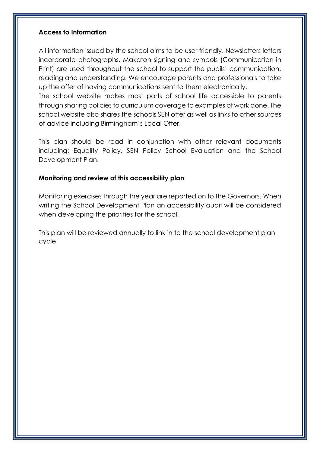## **Access to Information**

All information issued by the school aims to be user friendly. Newsletters letters incorporate photographs. Makaton signing and symbols (Communication in Print) are used throughout the school to support the pupils' communication, reading and understanding. We encourage parents and professionals to take up the offer of having communications sent to them electronically.

The school website makes most parts of school life accessible to parents through sharing policies to curriculum coverage to examples of work done. The school website also shares the schools SEN offer as well as links to other sources of advice including Birmingham's Local Offer.

This plan should be read in conjunction with other relevant documents including: Equality Policy, SEN Policy School Evaluation and the School Development Plan.

## **Monitoring and review of this accessibility plan**

Monitoring exercises through the year are reported on to the Governors. When writing the School Development Plan an accessibility audit will be considered when developing the priorities for the school.

This plan will be reviewed annually to link in to the school development plan cycle.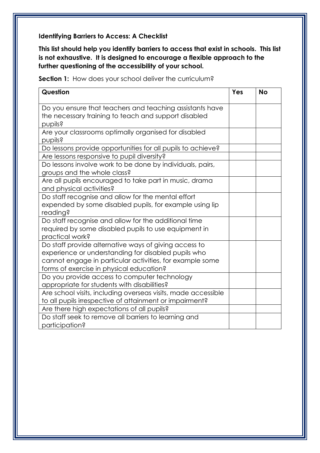# **Identifying Barriers to Access: A Checklist**

**This list should help you identify barriers to access that exist in schools. This list is not exhaustive. It is designed to encourage a flexible approach to the further questioning of the accessibility of your school.**

**Section 1:** How does your school deliver the curriculum?

| Question                                                      | Yes | <b>No</b> |
|---------------------------------------------------------------|-----|-----------|
| Do you ensure that teachers and teaching assistants have      |     |           |
| the necessary training to teach and support disabled          |     |           |
| pupils?                                                       |     |           |
| Are your classrooms optimally organised for disabled          |     |           |
| pupils?                                                       |     |           |
| Do lessons provide opportunities for all pupils to achieve?   |     |           |
| Are lessons responsive to pupil diversity?                    |     |           |
| Do lessons involve work to be done by individuals, pairs,     |     |           |
| groups and the whole class?                                   |     |           |
| Are all pupils encouraged to take part in music, drama        |     |           |
| and physical activities?                                      |     |           |
| Do staff recognise and allow for the mental effort            |     |           |
| expended by some disabled pupils, for example using lip       |     |           |
| reading?                                                      |     |           |
| Do staff recognise and allow for the additional time          |     |           |
| required by some disabled pupils to use equipment in          |     |           |
| practical work?                                               |     |           |
| Do staff provide alternative ways of giving access to         |     |           |
| experience or understanding for disabled pupils who           |     |           |
| cannot engage in particular activities, for example some      |     |           |
| forms of exercise in physical education?                      |     |           |
| Do you provide access to computer technology                  |     |           |
| appropriate for students with disabilities?                   |     |           |
| Are school visits, including overseas visits, made accessible |     |           |
| to all pupils irrespective of attainment or impairment?       |     |           |
| Are there high expectations of all pupils?                    |     |           |
| Do staff seek to remove all barriers to learning and          |     |           |
| participation?                                                |     |           |